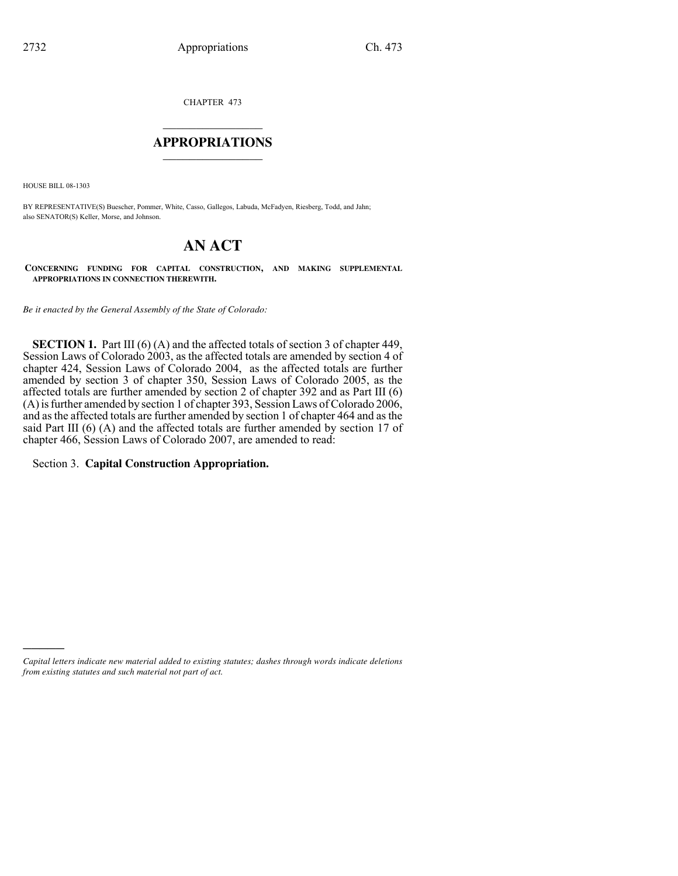CHAPTER 473

## $\mathcal{L}_\text{max}$  , where  $\mathcal{L}_\text{max}$ **APPROPRIATIONS** \_\_\_\_\_\_\_\_\_\_\_\_\_\_\_

HOUSE BILL 08-1303

)))))

BY REPRESENTATIVE(S) Buescher, Pommer, White, Casso, Gallegos, Labuda, McFadyen, Riesberg, Todd, and Jahn; also SENATOR(S) Keller, Morse, and Johnson.

# **AN ACT**

**CONCERNING FUNDING FOR CAPITAL CONSTRUCTION, AND MAKING SUPPLEMENTAL APPROPRIATIONS IN CONNECTION THEREWITH.**

*Be it enacted by the General Assembly of the State of Colorado:*

**SECTION 1.** Part III (6) (A) and the affected totals of section 3 of chapter 449, Session Laws of Colorado 2003, as the affected totals are amended by section 4 of chapter 424, Session Laws of Colorado 2004, as the affected totals are further amended by section 3 of chapter 350, Session Laws of Colorado 2005, as the affected totals are further amended by section 2 of chapter 392 and as Part III (6) (A) is further amended by section 1 of chapter 393, Session Laws of Colorado 2006, and as the affected totals are further amended by section 1 of chapter 464 and as the said Part III (6) (A) and the affected totals are further amended by section 17 of chapter 466, Session Laws of Colorado 2007, are amended to read:

Section 3. **Capital Construction Appropriation.**

*Capital letters indicate new material added to existing statutes; dashes through words indicate deletions from existing statutes and such material not part of act.*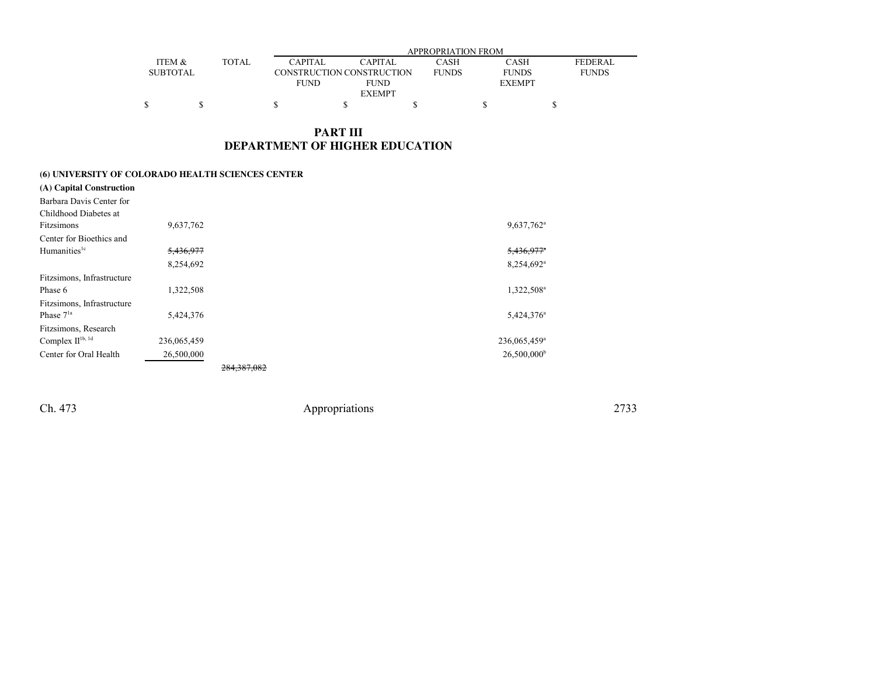|                 |       | APPROPRIATION FROM |                           |              |               |                |
|-----------------|-------|--------------------|---------------------------|--------------|---------------|----------------|
| ITEM &          | TOTAL | <b>CAPITAL</b>     | <b>CAPITAL</b>            | CASH         | <b>CASH</b>   | <b>FEDERAL</b> |
| <b>SUBTOTAL</b> |       |                    | CONSTRUCTION CONSTRUCTION | <b>FUNDS</b> | <b>FUNDS</b>  | <b>FUNDS</b>   |
|                 |       | <b>FUND</b>        | <b>FUND</b>               |              | <b>EXEMPT</b> |                |
|                 |       |                    | <b>EXEMPT</b>             |              |               |                |
|                 |       |                    |                           |              |               |                |

## **PART IIIDEPARTMENT OF HIGHER EDUCATION**

#### **(6) UNIVERSITY OF COLORADO HEALTH SCIENCES CENTER**

| (A) Capital Construction    |             |               |                          |
|-----------------------------|-------------|---------------|--------------------------|
| Barbara Davis Center for    |             |               |                          |
| Childhood Diabetes at       |             |               |                          |
| Fitzsimons                  | 9,637,762   |               | 9,637,762 <sup>a</sup>   |
| Center for Bioethics and    |             |               |                          |
| Humanities <sup>1c</sup>    | 5,436,977   |               | $5,436,977$ <sup>*</sup> |
|                             | 8,254,692   |               | 8,254,692 <sup>a</sup>   |
| Fitzsimons, Infrastructure  |             |               |                          |
| Phase 6                     | 1,322,508   |               | 1,322,508 <sup>a</sup>   |
| Fitzsimons, Infrastructure  |             |               |                          |
| Phase $71a$                 | 5,424,376   |               | $5,424,376^a$            |
| Fitzsimons, Research        |             |               |                          |
| Complex $\Pi^{\rm 1b,\,1d}$ | 236,065,459 |               | 236,065,459 <sup>a</sup> |
| Center for Oral Health      | 26,500,000  |               | 26,500,000 <sup>b</sup>  |
|                             |             | 284, 387, 082 |                          |

Ch. 473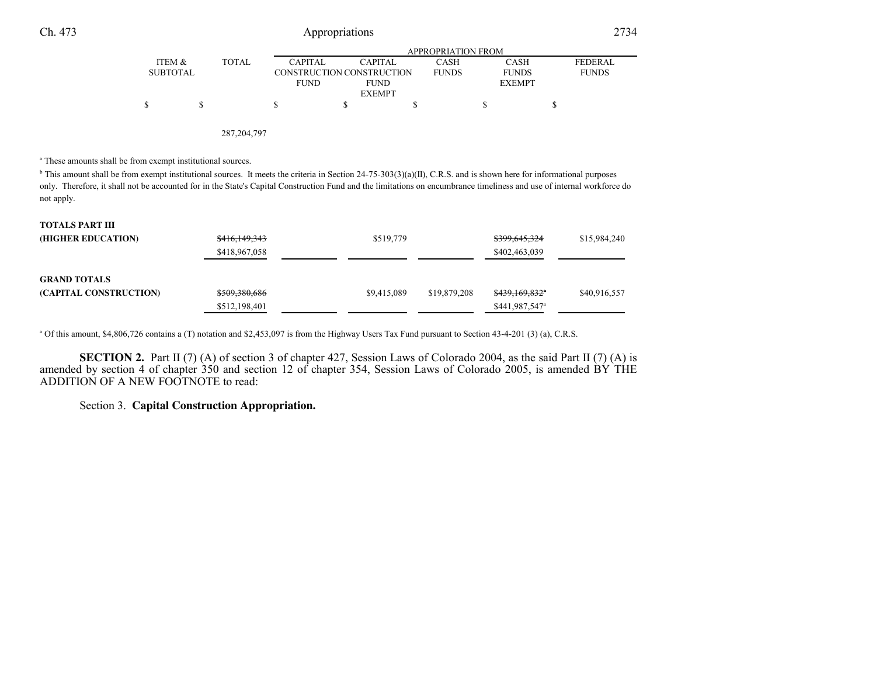# Appropriations <sup>2734</sup>

|          |       |                |                           | APPROPRIATION FROM |               |                |
|----------|-------|----------------|---------------------------|--------------------|---------------|----------------|
| ITEM &   | TOTAL | <b>CAPITAL</b> | CAPITAL                   | CASH               | <b>CASH</b>   | <b>FEDERAL</b> |
| SUBTOTAL |       |                | CONSTRUCTION CONSTRUCTION | <b>FUNDS</b>       | <b>FUNDS</b>  | <b>FUNDS</b>   |
|          |       | <b>FUND</b>    | <b>FUND</b>               |                    | <b>EXEMPT</b> |                |
|          |       |                | <b>EXEMPT</b>             |                    |               |                |
|          |       |                |                           |                    |               |                |
|          |       |                |                           |                    |               |                |

287,204,797

a These amounts shall be from exempt institutional sources.

 $\Phi$  This amount shall be from exempt institutional sources. It meets the criteria in Section 24-75-303(3)(a)(II), C.R.S. and is shown here for informational purposes only. Therefore, it shall not be accounted for in the State's Capital Construction Fund and the limitations on encumbrance timeliness and use of internal workforce donot apply.

| <b>TOTALS PART III</b> |                          |             |              |                            |              |
|------------------------|--------------------------|-------------|--------------|----------------------------|--------------|
| (HIGHER EDUCATION)     | <del>\$416,149,343</del> | \$519,779   |              | \$399,645,324              | \$15,984,240 |
|                        | \$418,967,058            |             |              | \$402,463,039              |              |
| <b>GRAND TOTALS</b>    |                          |             |              |                            |              |
| (CAPITAL CONSTRUCTION) | \$509,380,686            | \$9.415,089 | \$19,879,208 | \$439,169,832"             | \$40,916,557 |
|                        | \$512,198,401            |             |              | \$441,987,547 <sup>a</sup> |              |

a Of this amount, \$4,806,726 contains a (T) notation and \$2,453,097 is from the Highway Users Tax Fund pursuant to Section 43-4-201 (3) (a), C.R.S.

**SECTION 2.** Part II (7) (A) of section 3 of chapter 427, Session Laws of Colorado 2004, as the said Part II (7) (A) is amended by section 4 of chapter 350 and section 12 of chapter 354, Session Laws of Colorado 2005, is amended BY THEADDITION OF A NEW FOOTNOTE to read:

Section 3. **Capital Construction Appropriation.**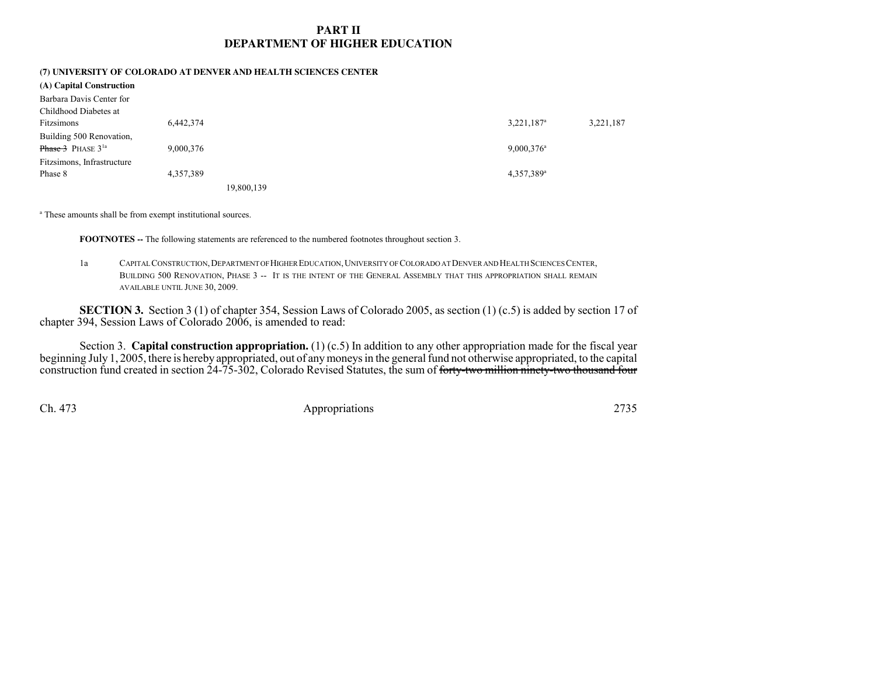## **PART IIDEPARTMENT OF HIGHER EDUCATION**

# **(7) UNIVERSITY OF COLORADO AT DENVER AND HEALTH SCIENCES CENTER**

| (A) Capital Construction   |           |                          |           |
|----------------------------|-----------|--------------------------|-----------|
| Barbara Davis Center for   |           |                          |           |
| Childhood Diabetes at      |           |                          |           |
| Fitzsimons                 | 6,442,374 | 3,221,187 <sup>a</sup>   | 3,221,187 |
| Building 500 Renovation,   |           |                          |           |
| <b>Phase 3</b> PHASE $31a$ | 9,000,376 | $9,000,376$ <sup>a</sup> |           |
| Fitzsimons, Infrastructure |           |                          |           |
| Phase 8                    | 4,357,389 | 4,357,389 <sup>a</sup>   |           |
|                            |           | 19.800.139               |           |

a These amounts shall be from exempt institutional sources.

**FOOTNOTES --** The following statements are referenced to the numbered footnotes throughout section 3.

1a <sup>C</sup>APITAL CONSTRUCTION,DEPARTMENT OF HIGHER EDUCATION,UNIVERSITY OF COLORADO AT DENVER AND HEALTH SCIENCES CENTER, BUILDING 500 <sup>R</sup>ENOVATION, <sup>P</sup>HASE <sup>3</sup> -- <sup>I</sup>T IS THE INTENT OF THE GENERAL ASSEMBLY THAT THIS APPROPRIATION SHALL REMAINAVAILABLE UNTIL JUNE 30, 2009.

**SECTION 3.** Section 3 (1) of chapter 354, Session Laws of Colorado 2005, as section (1) (c.5) is added by section 17 of chapter 394, Session Laws of Colorado 2006, is amended to read:

Section 3. **Capital construction appropriation.** (1) (c.5) In addition to any other appropriation made for the fiscal year beginning July 1, 2005, there is hereby appropriated, out of any moneys in the general fund not otherwise appropriated, to the capitalconstruction fund created in section 24-75-302, Colorado Revised Statutes, the sum of <del>forty-two million ninety-two thousand four</del>

Ch. 473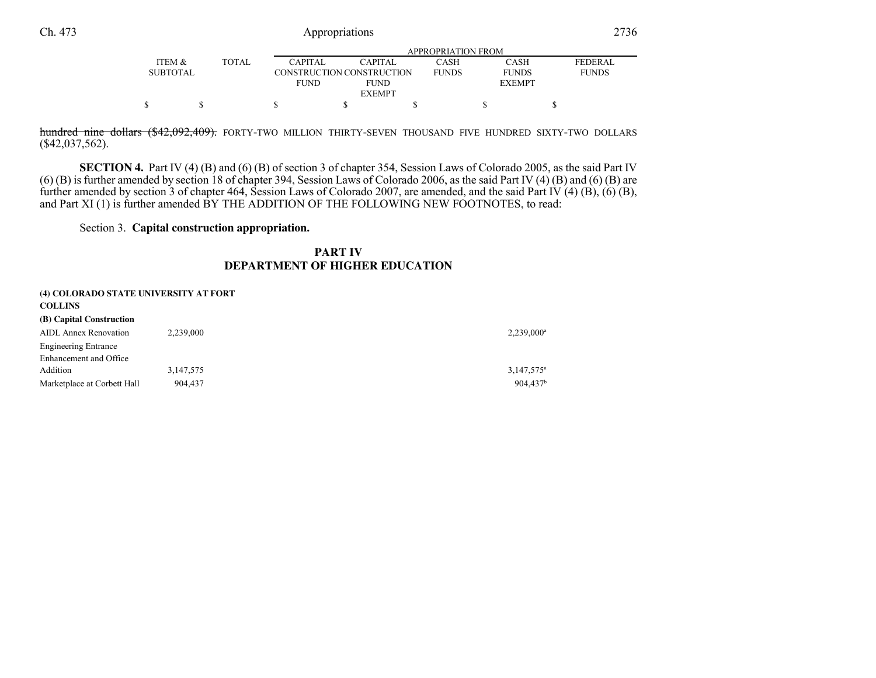|                 |              |                |                           | APPROPRIATION FROM |               |                |
|-----------------|--------------|----------------|---------------------------|--------------------|---------------|----------------|
| ITEM &          | <b>TOTAL</b> | <b>CAPITAL</b> | <b>CAPITAL</b>            | CASH               | <b>CASH</b>   | <b>FEDERAL</b> |
| <b>SUBTOTAL</b> |              |                | CONSTRUCTION CONSTRUCTION | <b>FUNDS</b>       | <b>FUNDS</b>  | <b>FUNDS</b>   |
|                 |              | <b>FUND</b>    | <b>FUND</b>               |                    | <b>EXEMPT</b> |                |
|                 |              |                | <b>EXEMPT</b>             |                    |               |                |
|                 |              |                |                           |                    |               |                |

<del>hundred nine dollars (\$42,092,409).</del> forty-two million thirty-seven thousand five hundred sixty-two dollars (\$42,037,562).

**SECTION 4.** Part IV (4) (B) and (6) (B) of section 3 of chapter 354, Session Laws of Colorado 2005, as the said Part IV (6) (B) is further amended by section 18 of chapter 394, Session Laws of Colorado 2006, as the said further amended by section 3 of chapter 464, Session Laws of Colorado 2007, are amended, and the said Part IV (4) (B), (6) (B),and Part XI (1) is further amended  $BY$  THE ADDITION OF THE FOLLOWING NEW FOOTNOTES, to read:

Section 3. **Capital construction appropriation.**

### **PART IVDEPARTMENT OF HIGHER EDUCATION**

| (4) COLORADO STATE UNIVERSITY AT FORT<br><b>COLLINS</b> |           |                      |
|---------------------------------------------------------|-----------|----------------------|
| (B) Capital Construction                                |           |                      |
| <b>AIDL Annex Renovation</b>                            | 2,239,000 | $2,239,000^a$        |
| <b>Engineering Entrance</b>                             |           |                      |
| Enhancement and Office                                  |           |                      |
| Addition                                                | 3,147,575 | $3,147,575^{\circ}$  |
| Marketplace at Corbett Hall                             | 904,437   | 904.437 <sup>b</sup> |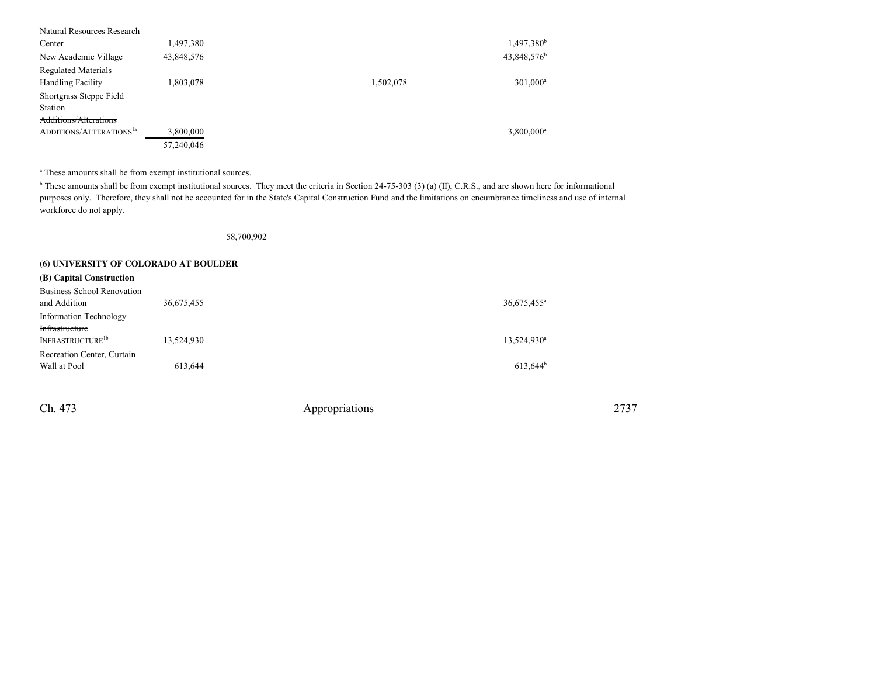| Natural Resources Research          |            |           |                         |
|-------------------------------------|------------|-----------|-------------------------|
| Center                              | 1,497,380  |           | 1,497,380 <sup>b</sup>  |
| New Academic Village                | 43,848,576 |           | 43,848,576 <sup>b</sup> |
| <b>Regulated Materials</b>          |            |           |                         |
| <b>Handling Facility</b>            | 1,803,078  | 1,502,078 | $301,000^a$             |
| Shortgrass Steppe Field             |            |           |                         |
| Station                             |            |           |                         |
| Additions/Alterations               |            |           |                         |
| ADDITIONS/ALTERATIONS <sup>1a</sup> | 3,800,000  |           | $3,800,000^a$           |
|                                     | 57,240,046 |           |                         |

a These amounts shall be from exempt institutional sources.

 $^{\rm b}$  These amounts shall be from exempt institutional sources. They meet the criteria in Section 24-75-303 (3) (a) (II), C.R.S., and are shown here for informational purposes only. Therefore, they shall not be accounted for in the State's Capital Construction Fund and the limitations on encumbrance timeliness and use of internalworkforce do not apply.

58,700,902

#### **(6) UNIVERSITY OF COLORADO AT BOULDER**

| (B) Capital Construction                          |            |                           |
|---------------------------------------------------|------------|---------------------------|
| <b>Business School Renovation</b><br>and Addition | 36,675,455 | $36,675,455$ <sup>a</sup> |
| <b>Information Technology</b>                     |            |                           |
| Infrastructure<br>INFRASTRUCTURE <sup>1b</sup>    |            |                           |
|                                                   | 13,524,930 | 13,524,930 <sup>a</sup>   |
| Recreation Center, Curtain<br>Wall at Pool        | 613,644    | $613.644^b$               |

Ch. 473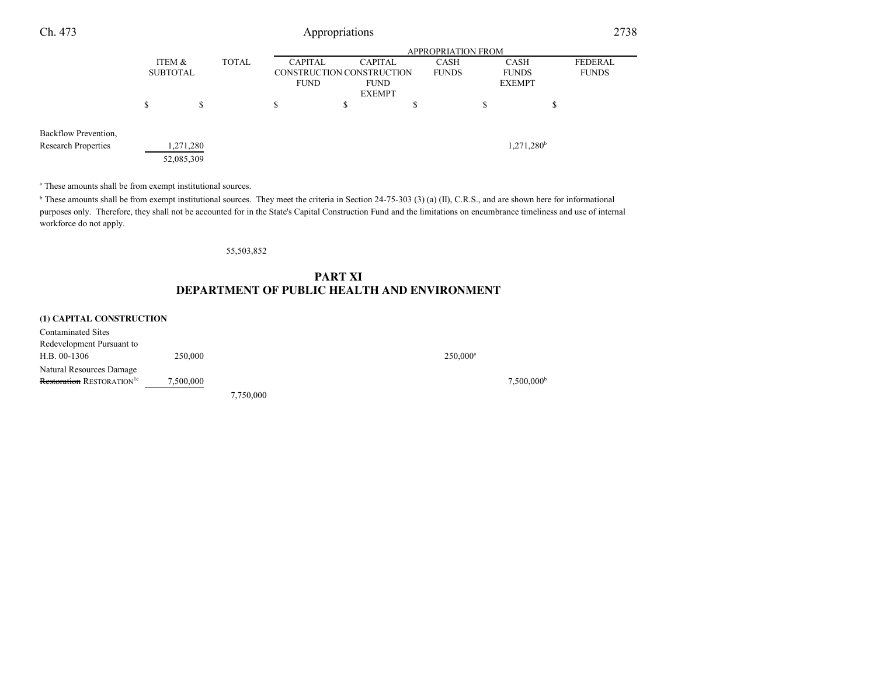| Ch. 473                                            | Appropriations                            |                        |  |                                                                                                                                             |    |                                              |                           |                         | 2738 |
|----------------------------------------------------|-------------------------------------------|------------------------|--|---------------------------------------------------------------------------------------------------------------------------------------------|----|----------------------------------------------|---------------------------|-------------------------|------|
|                                                    |                                           |                        |  |                                                                                                                                             |    |                                              | <b>APPROPRIATION FROM</b> |                         |      |
|                                                    | <b>TOTAL</b><br>ITEM &<br><b>SUBTOTAL</b> |                        |  | <b>CAPITAL</b><br><b>CAPITAL</b><br><b>CASH</b><br>CONSTRUCTION CONSTRUCTION<br><b>FUNDS</b><br><b>FUND</b><br><b>FUND</b><br><b>EXEMPT</b> |    | <b>CASH</b><br><b>FUNDS</b><br><b>EXEMPT</b> |                           | FEDERAL<br><b>FUNDS</b> |      |
|                                                    | \$                                        | \$                     |  | \$                                                                                                                                          | \$ |                                              | \$                        | \$                      |      |
| Backflow Prevention,<br><b>Research Properties</b> |                                           | ,271,280<br>52,085,309 |  |                                                                                                                                             |    |                                              |                           | 1,271,280 <sup>b</sup>  |      |

a These amounts shall be from exempt institutional sources.

 $<sup>b</sup>$  These amounts shall be from exempt institutional sources. They meet the criteria in Section 24-75-303 (3) (a) (II), C.R.S., and are shown here for informational</sup> purposes only. Therefore, they shall not be accounted for in the State's Capital Construction Fund and the limitations on encumbrance timeliness and use of internalworkforce do not apply.

55,503,852

## **PART XIDEPARTMENT OF PUBLIC HEALTH AND ENVIRONMENT**

#### **(1) CAPITAL CONSTRUCTION**

| Contaminated Sites                           |           |           |                        |
|----------------------------------------------|-----------|-----------|------------------------|
| Redevelopment Pursuant to                    |           |           |                        |
| $H.B. 00-1306$                               | 250,000   |           | $250.000$ <sup>a</sup> |
| Natural Resources Damage                     |           |           |                        |
| <b>Restoration RESTORATION</b> <sup>1c</sup> | 7,500,000 |           | 7.500.000 <sup>b</sup> |
|                                              |           | 7,750,000 |                        |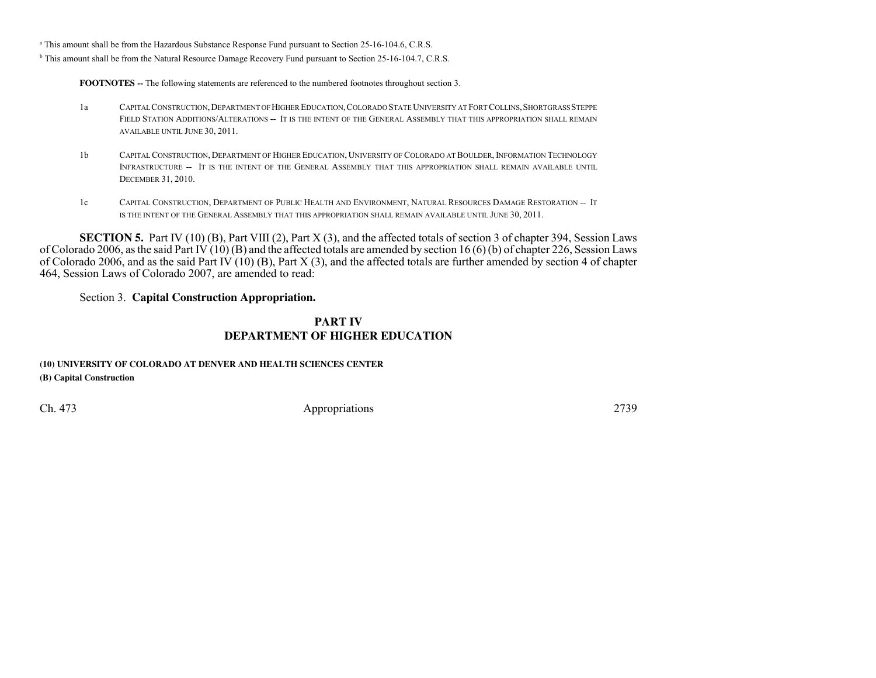<sup>a</sup> This amount shall be from the Hazardous Substance Response Fund pursuant to Section 25-16-104.6, C.R.S.

<sup>b</sup> This amount shall be from the Natural Resource Damage Recovery Fund pursuant to Section 25-16-104.7, C.R.S.

**FOOTNOTES --** The following statements are referenced to the numbered footnotes throughout section 3.

- 1a <sup>C</sup>APITAL CONSTRUCTION,DEPARTMENT OF HIGHER EDUCATION,COLORADO STATE UNIVERSITY AT FORT COLLINS,SHORTGRASS STEPPE FIELD STATION ADDITIONS/ALTERATIONS -- <sup>I</sup>T IS THE INTENT OF THE GENERAL ASSEMBLY THAT THIS APPROPRIATION SHALL REMAINAVAILABLE UNTIL JUNE 30, 2011.
- 1b <sup>C</sup>APITAL CONSTRUCTION, <sup>D</sup>EPARTMENT OF HIGHER EDUCATION, <sup>U</sup>NIVERSITY OF COLORADO AT BOULDER, <sup>I</sup>NFORMATION TECHNOLOGY INFRASTRUCTURE -- <sup>I</sup>T IS THE INTENT OF THE GENERAL ASSEMBLY THAT THIS APPROPRIATION SHALL REMAIN AVAILABLE UNTILDECEMBER 31, 2010.
- 1c <sup>C</sup>APITAL CONSTRUCTION, <sup>D</sup>EPARTMENT OF PUBLIC HEALTH AND ENVIRONMENT, <sup>N</sup>ATURAL RESOURCES DAMAGE RESTORATION -- <sup>I</sup><sup>T</sup> IS THE INTENT OF THE GENERAL ASSEMBLY THAT THIS APPROPRIATION SHALL REMAIN AVAILABLE UNTIL JUNE 30, 2011.

**SECTION 5.** Part IV (10) (B), Part VIII (2), Part X (3), and the affected totals of section 3 of chapter 394, Session Laws of Colorado 2006, as the said Part IV (10) (B) and the affected totals are amended by section 16 (6) (b) of chapter 226, Session Laws of Colorado 2006, and as the said Part IV (10) (B), Part X (3), and the affected totals are further amended by section 4 of chapter464, Session Laws of Colorado 2007, are amended to read:

Section 3. **Capital Construction Appropriation.**

### **PART IVDEPARTMENT OF HIGHER EDUCATION**

### **(10) UNIVERSITY OF COLORADO AT DENVER AND HEALTH SCIENCES CENTER(B) Capital Construction**

Ch. 473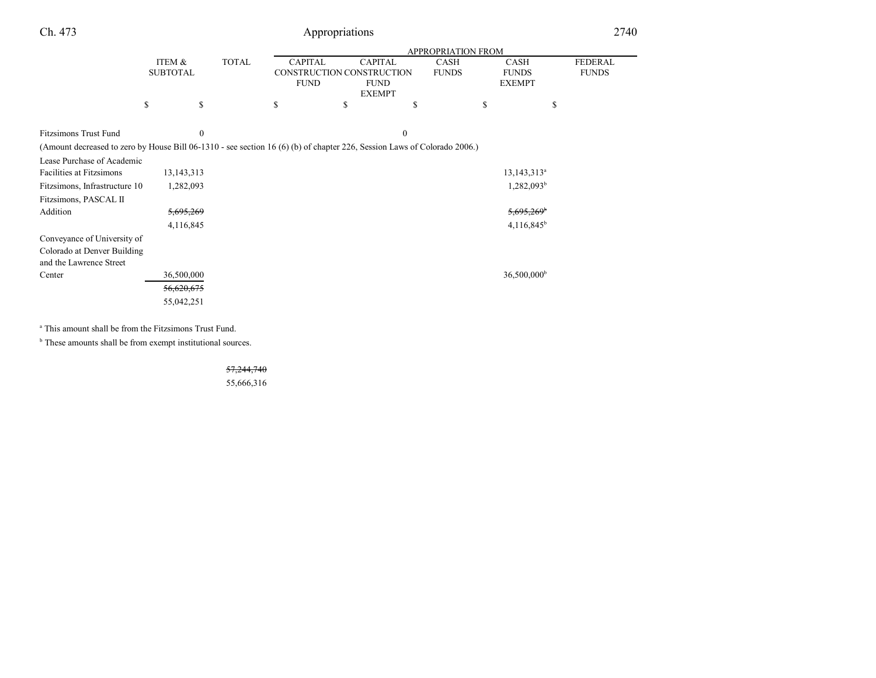| Ch. 473                                                                                                                                                  |                           |              |                                                                                                                              | Appropriations |              |                                                                             |                           | 2740                           |
|----------------------------------------------------------------------------------------------------------------------------------------------------------|---------------------------|--------------|------------------------------------------------------------------------------------------------------------------------------|----------------|--------------|-----------------------------------------------------------------------------|---------------------------|--------------------------------|
|                                                                                                                                                          |                           |              |                                                                                                                              |                |              |                                                                             |                           |                                |
|                                                                                                                                                          | ITEM &<br><b>SUBTOTAL</b> |              | <b>TOTAL</b><br><b>CAPITAL</b><br><b>CAPITAL</b><br>CONSTRUCTION CONSTRUCTION<br><b>FUND</b><br><b>FUND</b><br><b>EXEMPT</b> |                |              | <b>CASH</b><br><b>CASH</b><br><b>FUNDS</b><br><b>FUNDS</b><br><b>EXEMPT</b> |                           | <b>FEDERAL</b><br><b>FUNDS</b> |
|                                                                                                                                                          | \$                        | \$           | \$                                                                                                                           | \$             | S            | \$                                                                          | \$                        |                                |
| <b>Fitzsimons Trust Fund</b><br>(Amount decreased to zero by House Bill 06-1310 - see section 16 (6) (b) of chapter 226, Session Laws of Colorado 2006.) |                           | $\mathbf{0}$ |                                                                                                                              |                | $\mathbf{0}$ |                                                                             |                           |                                |
| Lease Purchase of Academic                                                                                                                               |                           |              |                                                                                                                              |                |              |                                                                             |                           |                                |
| Facilities at Fitzsimons                                                                                                                                 | 13, 143, 313              |              |                                                                                                                              |                |              |                                                                             | $13, 143, 313^a$          |                                |
| Fitzsimons, Infrastructure 10                                                                                                                            | 1,282,093                 |              |                                                                                                                              |                |              |                                                                             | 1,282,093 <sup>b</sup>    |                                |
| Fitzsimons, PASCAL II                                                                                                                                    |                           |              |                                                                                                                              |                |              |                                                                             |                           |                                |
| Addition                                                                                                                                                 | <del>5,695,269</del>      |              |                                                                                                                              |                |              |                                                                             | $5,695,269$ <sup>b</sup>  |                                |
|                                                                                                                                                          | 4,116,845                 |              |                                                                                                                              |                |              |                                                                             | 4,116,845 <sup>b</sup>    |                                |
| Conveyance of University of                                                                                                                              |                           |              |                                                                                                                              |                |              |                                                                             |                           |                                |
| Colorado at Denver Building                                                                                                                              |                           |              |                                                                                                                              |                |              |                                                                             |                           |                                |
| and the Lawrence Street                                                                                                                                  |                           |              |                                                                                                                              |                |              |                                                                             |                           |                                |
| Center                                                                                                                                                   | 36,500,000                |              |                                                                                                                              |                |              |                                                                             | $36,500,000$ <sup>b</sup> |                                |
|                                                                                                                                                          | 56,620,675                |              |                                                                                                                              |                |              |                                                                             |                           |                                |
|                                                                                                                                                          | 55,042,251                |              |                                                                                                                              |                |              |                                                                             |                           |                                |

<sup>a</sup> This amount shall be from the Fitzsimons Trust Fund.

<sup>b</sup> These amounts shall be from exempt institutional sources.

57,244,740

55,666,316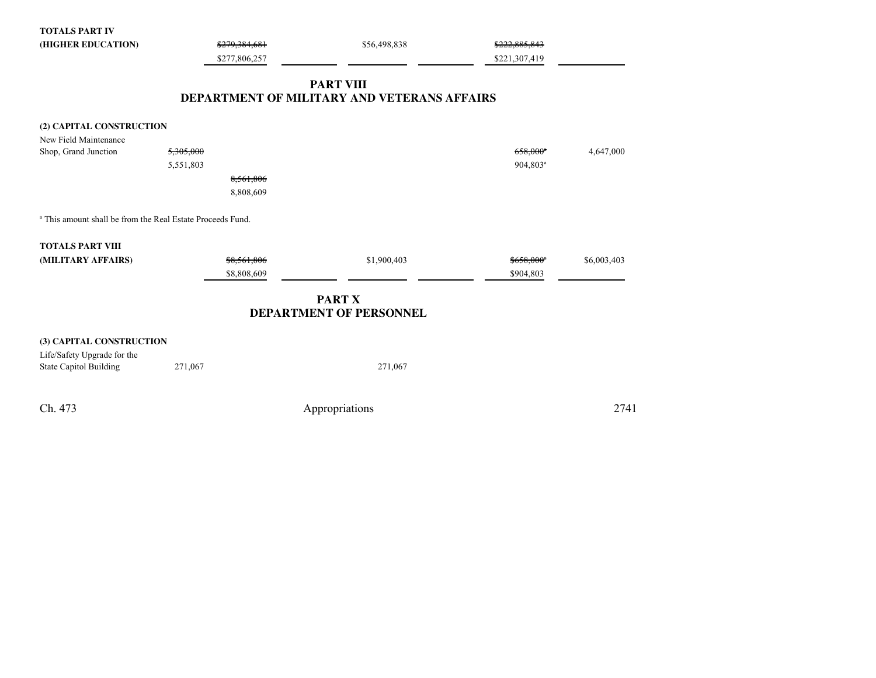| <b>TOTALS PART IV</b>                                                 |               |                                             |                         |             |
|-----------------------------------------------------------------------|---------------|---------------------------------------------|-------------------------|-------------|
| (HIGHER EDUCATION)                                                    | \$279,384,681 | \$56,498,838                                | \$222,885,843           |             |
|                                                                       | \$277,806,257 |                                             | \$221,307,419           |             |
|                                                                       |               | <b>PART VIII</b>                            |                         |             |
|                                                                       |               | DEPARTMENT OF MILITARY AND VETERANS AFFAIRS |                         |             |
| (2) CAPITAL CONSTRUCTION                                              |               |                                             |                         |             |
| New Field Maintenance                                                 |               |                                             |                         |             |
| Shop, Grand Junction                                                  | 5,305,000     |                                             | $658,000$ <sup>*</sup>  | 4,647,000   |
|                                                                       | 5,551,803     |                                             | 904,803 <sup>a</sup>    |             |
|                                                                       | 8,561,806     |                                             |                         |             |
|                                                                       | 8,808,609     |                                             |                         |             |
| <sup>a</sup> This amount shall be from the Real Estate Proceeds Fund. |               |                                             |                         |             |
| <b>TOTALS PART VIII</b>                                               |               |                                             |                         |             |
| (MILITARY AFFAIRS)                                                    | \$8,561,806   | \$1,900,403                                 | $$658,000$ <sup>a</sup> | \$6,003,403 |
|                                                                       | \$8,808,609   |                                             | \$904,803               |             |
|                                                                       |               | <b>PART X</b>                               |                         |             |
|                                                                       |               | DEPARTMENT OF PERSONNEL                     |                         |             |
| (3) CAPITAL CONSTRUCTION                                              |               |                                             |                         |             |
| Life/Safety Upgrade for the                                           |               |                                             |                         |             |
| <b>State Capitol Building</b>                                         | 271,067       | 271,067                                     |                         |             |
|                                                                       |               |                                             |                         |             |
|                                                                       |               |                                             |                         |             |

Appropriations <sup>2741</sup>

Ch. 473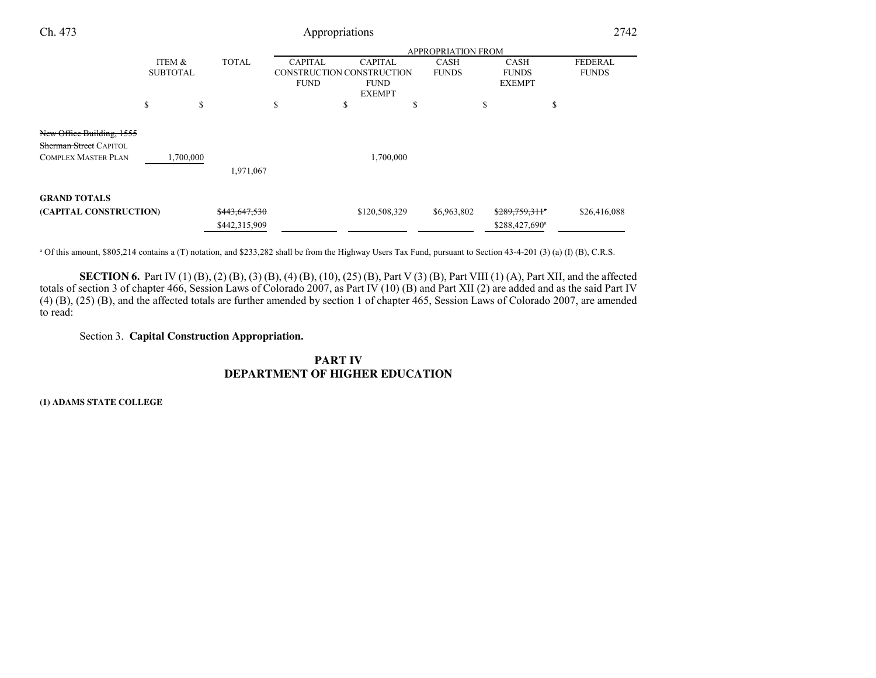| Ch. 473                                                    | Appropriations |                           |               |                |                                                           |   |              | 2742                          |                |
|------------------------------------------------------------|----------------|---------------------------|---------------|----------------|-----------------------------------------------------------|---|--------------|-------------------------------|----------------|
|                                                            |                | <b>APPROPRIATION FROM</b> |               |                |                                                           |   |              |                               |                |
|                                                            |                | ITEM &                    | <b>TOTAL</b>  | <b>CAPITAL</b> | <b>CAPITAL</b>                                            |   | <b>CASH</b>  | <b>CASH</b>                   | <b>FEDERAL</b> |
|                                                            |                | <b>SUBTOTAL</b>           |               | <b>FUND</b>    | CONSTRUCTION CONSTRUCTION<br><b>FUND</b><br><b>EXEMPT</b> |   | <b>FUNDS</b> | <b>FUNDS</b><br><b>EXEMPT</b> | <b>FUNDS</b>   |
|                                                            | S              | S                         |               | S              | \$                                                        | ъ |              | \$                            | \$             |
| New Office Building, 1555<br><b>Sherman Street CAPITOL</b> |                |                           |               |                |                                                           |   |              |                               |                |
| <b>COMPLEX MASTER PLAN</b>                                 |                | 1,700,000                 |               |                | 1,700,000                                                 |   |              |                               |                |
|                                                            |                |                           | 1,971,067     |                |                                                           |   |              |                               |                |
| <b>GRAND TOTALS</b>                                        |                |                           |               |                |                                                           |   |              |                               |                |
| (CAPITAL CONSTRUCTION)                                     |                |                           | \$443,647,530 |                | \$120,508,329                                             |   | \$6,963,802  | \$289,759,311°                | \$26,416,088   |
|                                                            |                |                           | \$442,315,909 |                |                                                           |   |              | \$288,427,690 <sup>a</sup>    |                |

<sup>a</sup> Of this amount, \$805,214 contains a (T) notation, and \$233,282 shall be from the Highway Users Tax Fund, pursuant to Section 43-4-201 (3) (a) (I) (B), C.R.S.

**SECTION 6.** Part IV (1) (B), (2) (B), (3) (B), (4) (B), (10), (25) (B), Part V (3) (B), Part VIII (1) (A), Part XII, and the affected totals of section 3 of chapter 466, Session Laws of Colorado 2007, as Part IV (10) (B) (4) (B), (25) (B), and the affected totals are further amended by section 1 of chapter 465, Session Laws of Colorado 2007, are amendedto read:

Section 3. **Capital Construction Appropriation.**

**PART IVDEPARTMENT OF HIGHER EDUCATION**

**(1) ADAMS STATE COLLEGE**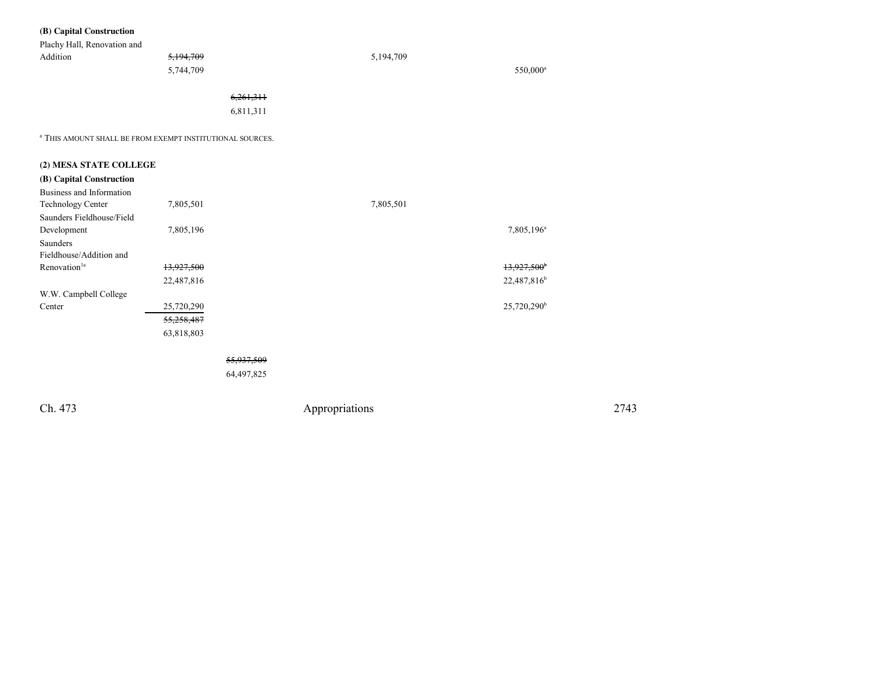| Plachy Hall, Renovation and<br>Addition                              | 5,194,709<br>5,744,709 |            |                | 5,194,709 | 550,000 <sup>a</sup>    |      |
|----------------------------------------------------------------------|------------------------|------------|----------------|-----------|-------------------------|------|
|                                                                      |                        | 6,261,311  |                |           |                         |      |
|                                                                      |                        | 6,811,311  |                |           |                         |      |
| <sup>a</sup> THIS AMOUNT SHALL BE FROM EXEMPT INSTITUTIONAL SOURCES. |                        |            |                |           |                         |      |
| (2) MESA STATE COLLEGE                                               |                        |            |                |           |                         |      |
| (B) Capital Construction                                             |                        |            |                |           |                         |      |
| Business and Information                                             |                        |            |                |           |                         |      |
| Technology Center                                                    | 7,805,501              |            |                | 7,805,501 |                         |      |
| Saunders Fieldhouse/Field                                            |                        |            |                |           |                         |      |
| Development                                                          | 7,805,196              |            |                |           | 7,805,196 <sup>a</sup>  |      |
| Saunders<br>Fieldhouse/Addition and                                  |                        |            |                |           |                         |      |
| Renovation <sup>1a</sup>                                             | 13,927,500             |            |                |           | 13,927,500*             |      |
|                                                                      | 22,487,816             |            |                |           | 22,487,816 <sup>b</sup> |      |
| W.W. Campbell College                                                |                        |            |                |           |                         |      |
| Center                                                               | 25,720,290             |            |                |           | 25,720,290 <sup>b</sup> |      |
|                                                                      | 55,258,487             |            |                |           |                         |      |
|                                                                      | 63,818,803             |            |                |           |                         |      |
|                                                                      |                        |            |                |           |                         |      |
|                                                                      |                        | 55,937,509 |                |           |                         |      |
|                                                                      |                        | 64,497,825 |                |           |                         |      |
| Ch. 473                                                              |                        |            | Appropriations |           |                         | 2743 |
|                                                                      |                        |            |                |           |                         |      |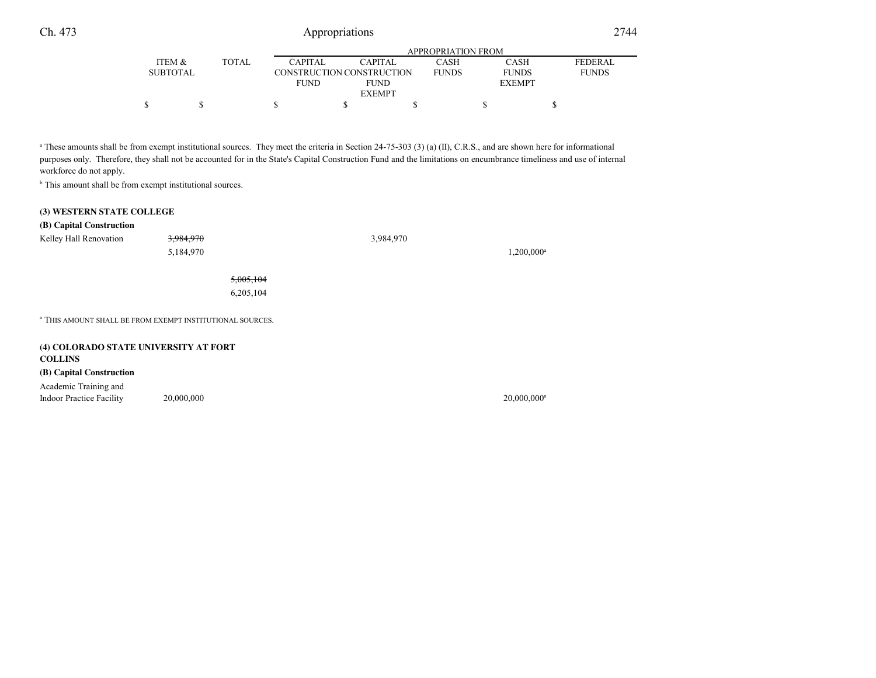|                 |              | APPROPRIATION FROM |                           |              |               |                |  |  |
|-----------------|--------------|--------------------|---------------------------|--------------|---------------|----------------|--|--|
| ITEM &          | <b>TOTAL</b> | <b>CAPITAL</b>     | <b>CAPITAL</b>            | CASH         | <b>CASH</b>   | <b>FEDERAL</b> |  |  |
| <b>SUBTOTAL</b> |              |                    | CONSTRUCTION CONSTRUCTION | <b>FUNDS</b> | <b>FUNDS</b>  | <b>FUNDS</b>   |  |  |
|                 |              | <b>FUND</b>        | <b>FUND</b>               |              | <b>EXEMPT</b> |                |  |  |
|                 |              |                    | <b>EXEMPT</b>             |              |               |                |  |  |
|                 |              |                    |                           |              |               |                |  |  |
|                 |              |                    |                           |              |               |                |  |  |

<sup>a</sup> These amounts shall be from exempt institutional sources. They meet the criteria in Section 24-75-303 (3) (a) (II), C.R.S., and are shown here for informational purposes only. Therefore, they shall not be accounted for in the State's Capital Construction Fund and the limitations on encumbrance timeliness and use of internalworkforce do not apply.

<sup>b</sup> This amount shall be from exempt institutional sources.

#### **(3) WESTERN STATE COLLEGE**

#### **(B) Capital Construction**

| Kelley Hall Renovation                | 3,984,970                                                            | 3,984,970 |                           |
|---------------------------------------|----------------------------------------------------------------------|-----------|---------------------------|
|                                       | 5,184,970                                                            |           | 1,200,000 <sup>a</sup>    |
|                                       | 5,005,104                                                            |           |                           |
|                                       | 6,205,104                                                            |           |                           |
|                                       | <sup>a</sup> THIS AMOUNT SHALL BE FROM EXEMPT INSTITUTIONAL SOURCES. |           |                           |
| (4) COLORADO STATE UNIVERSITY AT FORT |                                                                      |           |                           |
| <b>COLLINS</b>                        |                                                                      |           |                           |
| (B) Capital Construction              |                                                                      |           |                           |
| Academic Training and                 |                                                                      |           |                           |
| <b>Indoor Practice Facility</b>       | 20,000,000                                                           |           | $20,000,000$ <sup>a</sup> |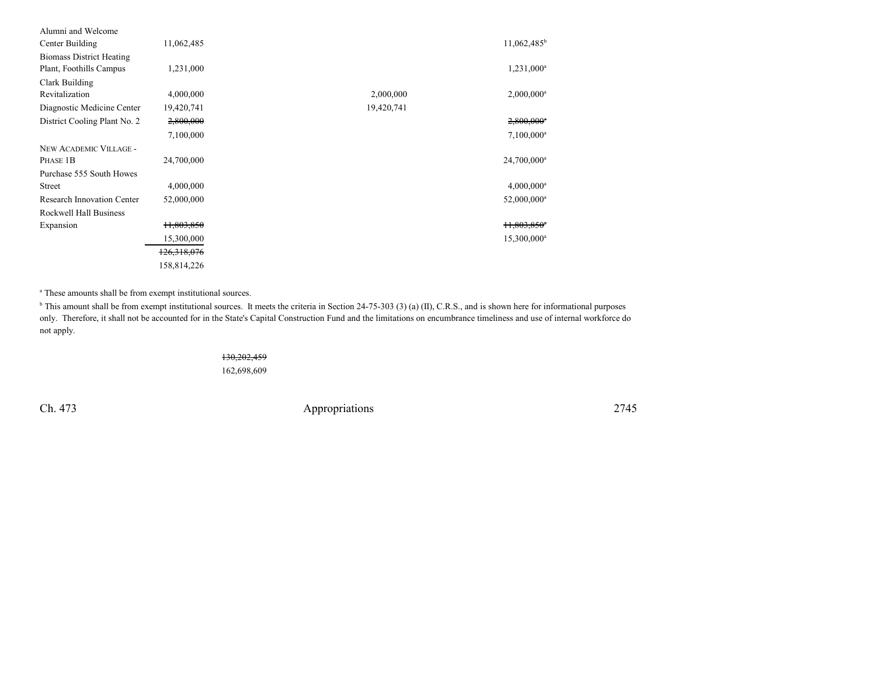| Alumni and Welcome                |                       |                                       |  |
|-----------------------------------|-----------------------|---------------------------------------|--|
| Center Building                   | 11,062,485            | $11,062,485^b$                        |  |
| <b>Biomass District Heating</b>   |                       |                                       |  |
| Plant, Foothills Campus           | 1,231,000             | $1,231,000^a$                         |  |
| Clark Building                    |                       |                                       |  |
| Revitalization                    | 4,000,000             | 2,000,000<br>$2,000,000$ <sup>a</sup> |  |
| Diagnostic Medicine Center        | 19,420,741            | 19,420,741                            |  |
| District Cooling Plant No. 2      | 2,800,000             | $2,800,000$ <sup>a</sup>              |  |
|                                   | 7,100,000             | $7,100,000^a$                         |  |
| NEW ACADEMIC VILLAGE -            |                       |                                       |  |
| PHASE 1B                          | 24,700,000            | 24,700,000 <sup>a</sup>               |  |
| Purchase 555 South Howes          |                       |                                       |  |
| <b>Street</b>                     | 4,000,000             | $4,000,000$ <sup>a</sup>              |  |
| <b>Research Innovation Center</b> | 52,000,000            | 52,000,000 <sup>a</sup>               |  |
| Rockwell Hall Business            |                       |                                       |  |
| Expansion                         | <del>11,803,850</del> | $H,803,850^{\circ}$                   |  |
|                                   | 15,300,000            | 15,300,000 <sup>a</sup>               |  |
|                                   | 126,318,076           |                                       |  |
|                                   | 158,814,226           |                                       |  |

a These amounts shall be from exempt institutional sources.

 $^{\text{b}}$  This amount shall be from exempt institutional sources. It meets the criteria in Section 24-75-303 (3) (a) (II), C.R.S., and is shown here for informational purposes only. Therefore, it shall not be accounted for in the State's Capital Construction Fund and the limitations on encumbrance timeliness and use of internal workforce donot apply.

#### 130,202,459

162,698,609

Ch. 473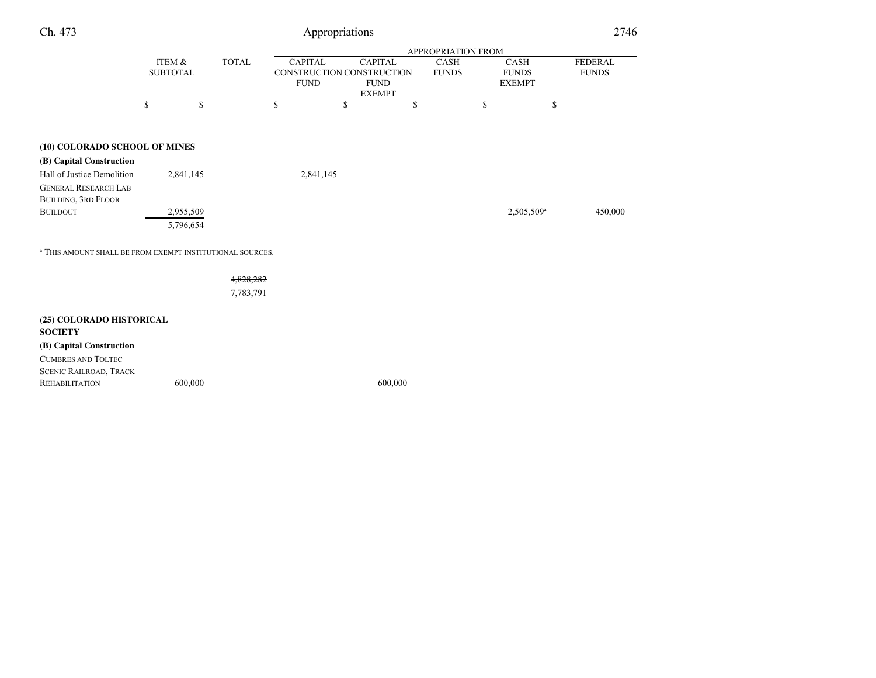| Ch. 473 |  |  |
|---------|--|--|
|         |  |  |

|                                                                      |                           |              |    | APPROPRIATION FROM            |                                                            |    |                                                                             |                        |                                |  |
|----------------------------------------------------------------------|---------------------------|--------------|----|-------------------------------|------------------------------------------------------------|----|-----------------------------------------------------------------------------|------------------------|--------------------------------|--|
|                                                                      | ITEM &<br><b>SUBTOTAL</b> | <b>TOTAL</b> |    | <b>CAPITAL</b><br><b>FUND</b> | <b>CAPITAL</b><br>CONSTRUCTION CONSTRUCTION<br><b>FUND</b> |    | <b>CASH</b><br><b>CASH</b><br><b>FUNDS</b><br><b>FUNDS</b><br><b>EXEMPT</b> |                        | <b>FEDERAL</b><br><b>FUNDS</b> |  |
|                                                                      | \$                        | \$           | \$ | \$                            | <b>EXEMPT</b>                                              | \$ | $\mathbb{S}$                                                                | \$                     |                                |  |
| (10) COLORADO SCHOOL OF MINES                                        |                           |              |    |                               |                                                            |    |                                                                             |                        |                                |  |
| (B) Capital Construction                                             |                           |              |    |                               |                                                            |    |                                                                             |                        |                                |  |
| Hall of Justice Demolition                                           | 2,841,145                 |              |    | 2,841,145                     |                                                            |    |                                                                             |                        |                                |  |
| <b>GENERAL RESEARCH LAB</b>                                          |                           |              |    |                               |                                                            |    |                                                                             |                        |                                |  |
| <b>BUILDING, 3RD FLOOR</b>                                           |                           |              |    |                               |                                                            |    |                                                                             |                        |                                |  |
| <b>BUILDOUT</b>                                                      | 2,955,509<br>5,796,654    |              |    |                               |                                                            |    |                                                                             | 2,505,509 <sup>a</sup> | 450,000                        |  |
| <sup>a</sup> THIS AMOUNT SHALL BE FROM EXEMPT INSTITUTIONAL SOURCES. |                           |              |    |                               |                                                            |    |                                                                             |                        |                                |  |
|                                                                      |                           | 4,828,282    |    |                               |                                                            |    |                                                                             |                        |                                |  |
|                                                                      |                           | 7,783,791    |    |                               |                                                            |    |                                                                             |                        |                                |  |
| (25) COLORADO HISTORICAL<br><b>SOCIETY</b>                           |                           |              |    |                               |                                                            |    |                                                                             |                        |                                |  |
| (B) Capital Construction                                             |                           |              |    |                               |                                                            |    |                                                                             |                        |                                |  |
| <b>CUMBRES AND TOLTEC</b>                                            |                           |              |    |                               |                                                            |    |                                                                             |                        |                                |  |
| <b>SCENIC RAILROAD, TRACK</b>                                        |                           |              |    |                               |                                                            |    |                                                                             |                        |                                |  |
| <b>REHABILITATION</b>                                                | 600,000                   |              |    |                               | 600,000                                                    |    |                                                                             |                        |                                |  |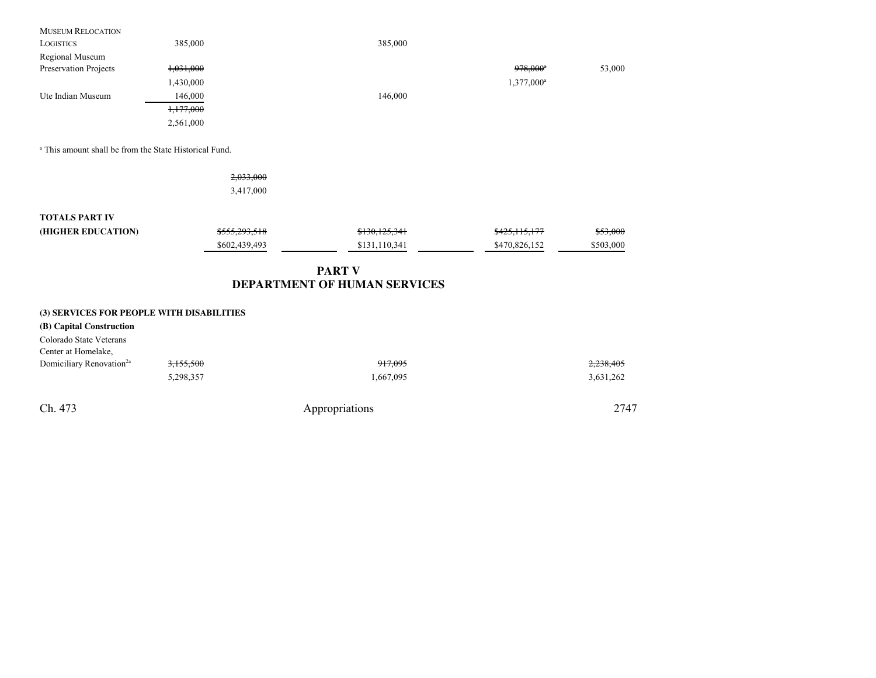| <b>MUSEUM RELOCATION</b>                                          |               |                              |                        |           |
|-------------------------------------------------------------------|---------------|------------------------------|------------------------|-----------|
| <b>LOGISTICS</b>                                                  | 385,000       | 385,000                      |                        |           |
| Regional Museum                                                   |               |                              |                        |           |
| Preservation Projects                                             | 1,031,000     |                              | $978,000$ <sup>*</sup> | 53,000    |
|                                                                   | 1,430,000     |                              | 1,377,000 <sup>a</sup> |           |
| Ute Indian Museum                                                 | 146,000       | 146,000                      |                        |           |
|                                                                   | 1,177,000     |                              |                        |           |
|                                                                   | 2,561,000     |                              |                        |           |
| <sup>a</sup> This amount shall be from the State Historical Fund. |               |                              |                        |           |
|                                                                   | 2,033,000     |                              |                        |           |
|                                                                   | 3,417,000     |                              |                        |           |
| <b>TOTALS PART IV</b>                                             |               |                              |                        |           |
| (HIGHER EDUCATION)                                                | \$555,293,518 | \$130,125,341                | \$425,115,177          | \$53,000  |
|                                                                   | \$602,439,493 | \$131,110,341                | \$470,826,152          | \$503,000 |
|                                                                   |               | <b>PART V</b>                |                        |           |
|                                                                   |               | DEPARTMENT OF HUMAN SERVICES |                        |           |
| (3) SERVICES FOR PEOPLE WITH DISABILITIES                         |               |                              |                        |           |
| (B) Capital Construction                                          |               |                              |                        |           |
| Colorado State Veterans                                           |               |                              |                        |           |
| Center at Homelake,                                               |               |                              |                        |           |
| Domiciliary Renovation <sup>2a</sup>                              | 3,155,500     | 917,095                      |                        | 2,238,405 |
|                                                                   | 5,298,357     | 1,667,095                    |                        | 3,631,262 |
| Ch. 473                                                           |               | Appropriations               |                        | 2747      |
|                                                                   |               |                              |                        |           |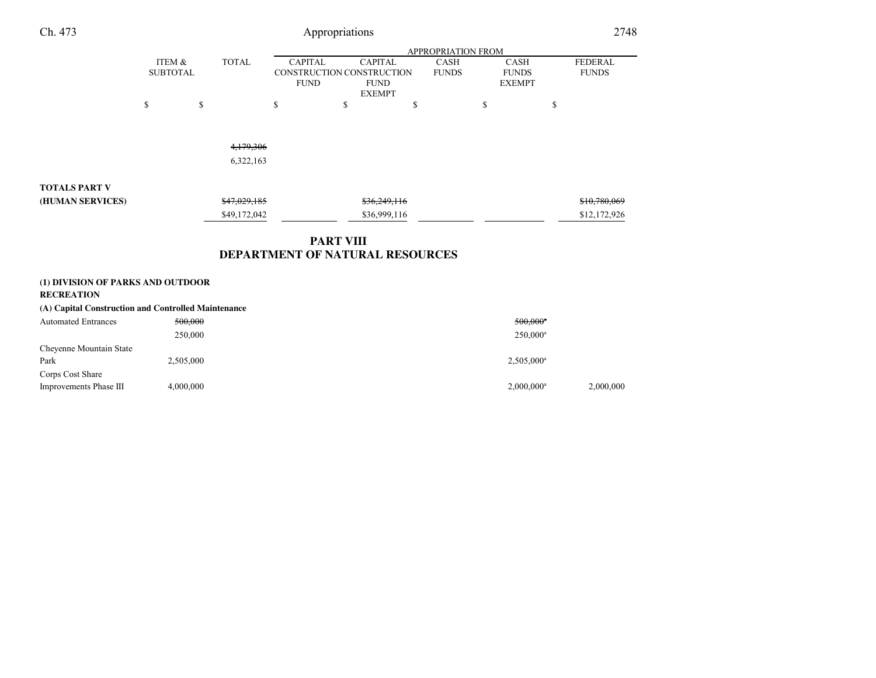| Ch. 473                                                |                           |    |                        |                                                            | Appropriations   |                                                |                             |                                              | 2748                           |
|--------------------------------------------------------|---------------------------|----|------------------------|------------------------------------------------------------|------------------|------------------------------------------------|-----------------------------|----------------------------------------------|--------------------------------|
|                                                        | APPROPRIATION FROM        |    |                        |                                                            |                  |                                                |                             |                                              |                                |
|                                                        | ITEM &<br><b>SUBTOTAL</b> |    | <b>TOTAL</b>           | <b>CAPITAL</b><br>CONSTRUCTION CONSTRUCTION<br><b>FUND</b> |                  | <b>CAPITAL</b><br><b>FUND</b><br><b>EXEMPT</b> | <b>CASH</b><br><b>FUNDS</b> | <b>CASH</b><br><b>FUNDS</b><br><b>EXEMPT</b> | <b>FEDERAL</b><br><b>FUNDS</b> |
|                                                        | \$                        | \$ |                        | \$                                                         | \$               |                                                | \$                          | \$                                           | \$                             |
|                                                        |                           |    | 4,179,306<br>6,322,163 |                                                            |                  |                                                |                             |                                              |                                |
|                                                        |                           |    |                        |                                                            |                  |                                                |                             |                                              |                                |
| <b>TOTALS PART V</b>                                   |                           |    |                        |                                                            |                  |                                                |                             |                                              |                                |
| (HUMAN SERVICES)                                       |                           |    | \$47,029,185           |                                                            |                  | \$36,249,116                                   |                             |                                              | \$10,780,069                   |
|                                                        |                           |    | \$49,172,042           |                                                            |                  | \$36,999,116                                   |                             |                                              | \$12,172,926                   |
|                                                        |                           |    |                        |                                                            | <b>PART VIII</b> |                                                |                             |                                              |                                |
|                                                        |                           |    |                        | DEPARTMENT OF NATURAL RESOURCES                            |                  |                                                |                             |                                              |                                |
| (1) DIVISION OF PARKS AND OUTDOOR<br><b>RECREATION</b> |                           |    |                        |                                                            |                  |                                                |                             |                                              |                                |
| (A) Capital Construction and Controlled Maintenance    |                           |    |                        |                                                            |                  |                                                |                             |                                              |                                |
| <b>Automated Entrances</b>                             | 500,000                   |    |                        |                                                            |                  |                                                |                             | $500,000$ <sup>*</sup>                       |                                |
|                                                        | 250,000                   |    |                        |                                                            |                  |                                                |                             | 250,000 <sup>a</sup>                         |                                |

| Chevenne Mountain State |           |                          |           |
|-------------------------|-----------|--------------------------|-----------|
| Park                    | 2,505,000 | $2,505,000^{\rm a}$      |           |
| Corps Cost Share        |           |                          |           |
| Improvements Phase III  | 4,000,000 | $2,000,000$ <sup>a</sup> | 2,000,000 |
|                         |           |                          |           |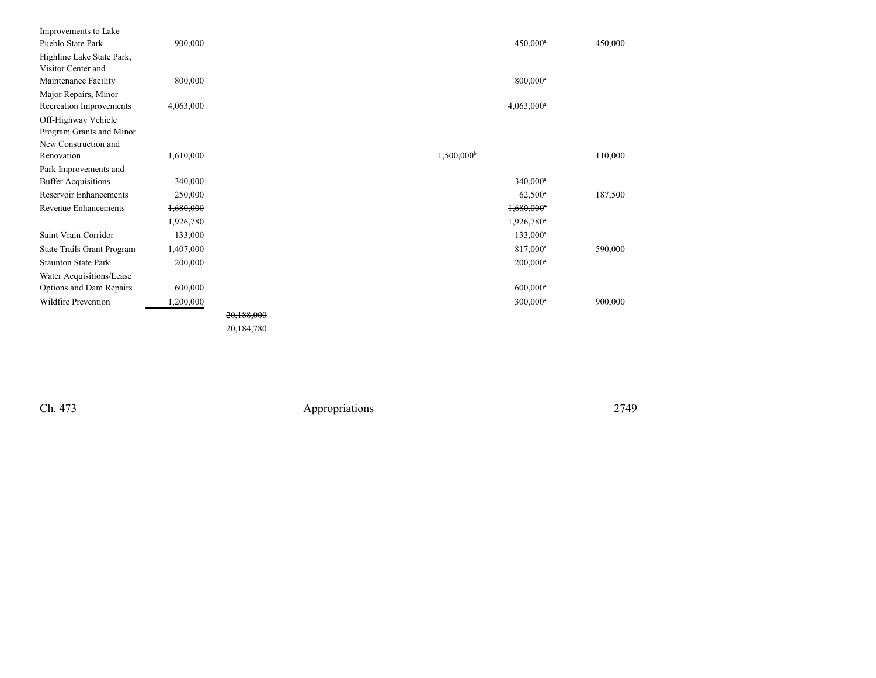| Improvements to Lake          |           |            |                          |         |
|-------------------------------|-----------|------------|--------------------------|---------|
| Pueblo State Park             | 900,000   |            | $450,000^a$              | 450,000 |
| Highline Lake State Park,     |           |            |                          |         |
| Visitor Center and            |           |            |                          |         |
| Maintenance Facility          | 800,000   |            | $800,000^a$              |         |
| Major Repairs, Minor          |           |            |                          |         |
| Recreation Improvements       | 4,063,000 |            | $4,063,000^a$            |         |
| Off-Highway Vehicle           |           |            |                          |         |
| Program Grants and Minor      |           |            |                          |         |
| New Construction and          |           |            |                          |         |
| Renovation                    | 1,610,000 |            | $1,500,000^{\rm b}$      | 110,000 |
| Park Improvements and         |           |            |                          |         |
| <b>Buffer Acquisitions</b>    | 340,000   |            | $340,000^a$              |         |
| <b>Reservoir Enhancements</b> | 250,000   |            | $62,500^{\circ}$         | 187,500 |
| <b>Revenue Enhancements</b>   | 1,680,000 |            | $1,680,000$ <sup>a</sup> |         |
|                               | 1,926,780 |            | $1,926,780$ <sup>a</sup> |         |
| Saint Vrain Corridor          | 133,000   |            | $133,000^a$              |         |
| State Trails Grant Program    | 1,407,000 |            | 817,000 <sup>a</sup>     | 590,000 |
| <b>Staunton State Park</b>    | 200,000   |            | $200,000^a$              |         |
| Water Acquisitions/Lease      |           |            |                          |         |
| Options and Dam Repairs       | 600,000   |            | $600,000$ <sup>a</sup>   |         |
| Wildfire Prevention           | 1,200,000 |            | $300,000^a$              | 900,000 |
|                               |           | 20,188,000 |                          |         |
|                               |           | 20,184,780 |                          |         |

Ch. 473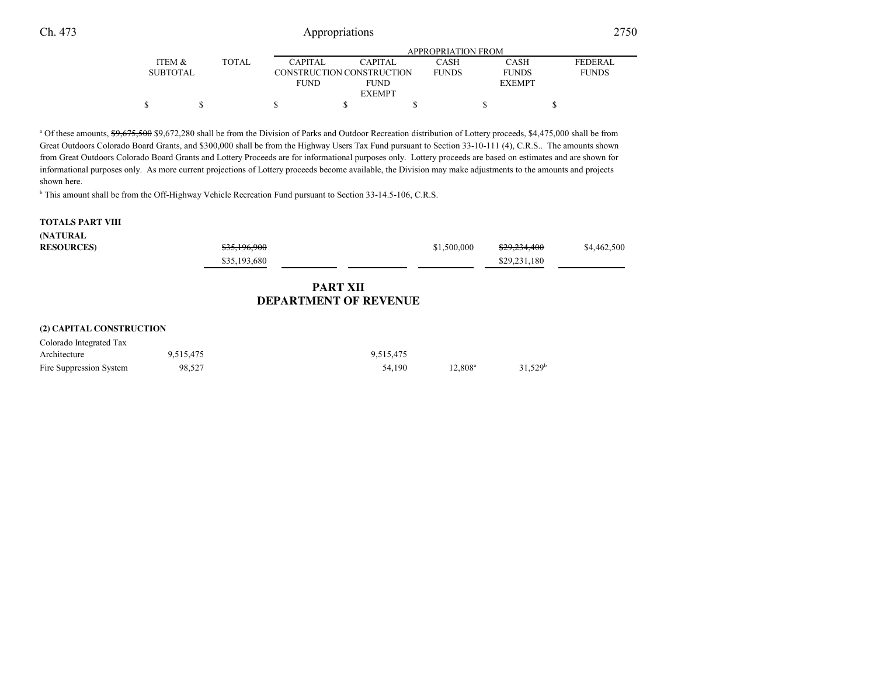<sup>a</sup> Of these amounts, \$9,675,500 \$9,672,280 shall be from the Division of Parks and Outdoor Recreation distribution of Lottery proceeds, \$4,475,000 shall be from Great Outdoors Colorado Board Grants, and \$300,000 shall be from the Highway Users Tax Fund pursuant to Section 33-10-111 (4), C.R.S.. The amounts shown from Great Outdoors Colorado Board Grants and Lottery Proceeds are for informational purposes only. Lottery proceeds are based on estimates and are shown for informational purposes only. As more current projections of Lottery proceeds become available, the Division may make adjustments to the amounts and projectsshown here.

 $s$  s s s s s

<sup>b</sup> This amount shall be from the Off-Highway Vehicle Recreation Fund pursuant to Section 33-14.5-106, C.R.S.

#### **TOTALS PART VIII**

#### **(NATURAL**

| <b>RESOURCES</b>         |           | \$35,196,900<br>\$35,193,680 |                                                 | \$1,500,000 | \$29,234,400<br>\$29,231,180 | \$4,462,500 |
|--------------------------|-----------|------------------------------|-------------------------------------------------|-------------|------------------------------|-------------|
|                          |           |                              | <b>PART XII</b><br><b>DEPARTMENT OF REVENUE</b> |             |                              |             |
| (2) CAPITAL CONSTRUCTION |           |                              |                                                 |             |                              |             |
| Colorado Integrated Tax  |           |                              |                                                 |             |                              |             |
| Architecture             | 9,515,475 |                              | 9,515,475                                       |             | $\sim$ $\sim$                |             |

Fire Suppression System 98,527 54,190 12,808<sup>a</sup> 31,529<sup>b</sup>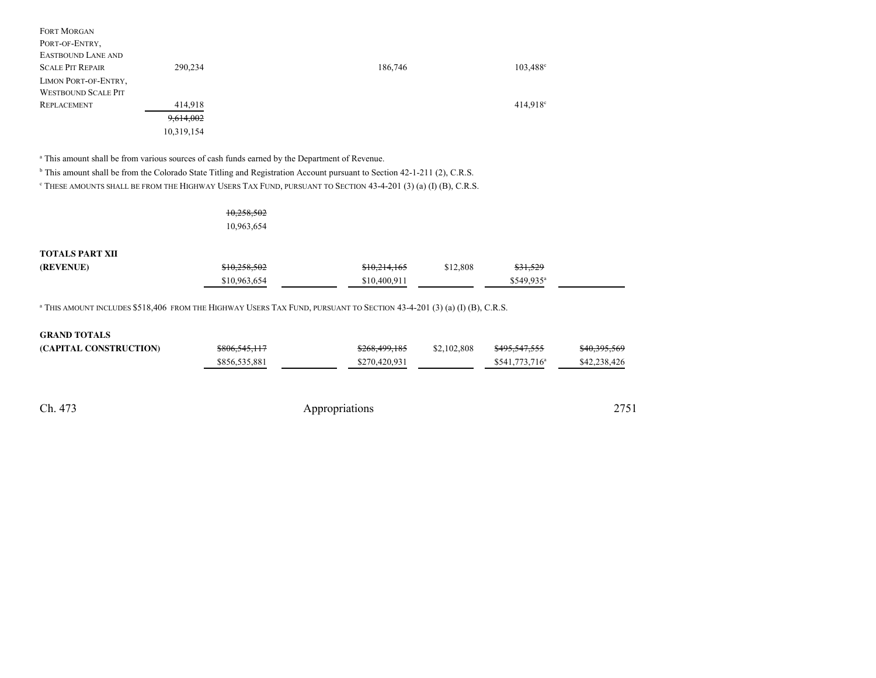| <b>FORT MORGAN</b>         |            |         |                        |
|----------------------------|------------|---------|------------------------|
| PORT-OF-ENTRY,             |            |         |                        |
| EASTBOUND LANE AND         |            |         |                        |
| <b>SCALE PIT REPAIR</b>    | 290,234    | 186,746 | $103,488^{\circ}$      |
| LIMON PORT-OF-ENTRY,       |            |         |                        |
| <b>WESTBOUND SCALE PIT</b> |            |         |                        |
| <b>REPLACEMENT</b>         | 414,918    |         | $414.918$ <sup>c</sup> |
|                            | 9,614,002  |         |                        |
|                            | 10,319,154 |         |                        |

<sup>a</sup> This amount shall be from various sources of cash funds earned by the Department of Revenue.

<sup>b</sup> This amount shall be from the Colorado State Titling and Registration Account pursuant to Section 42-1-211 (2), C.R.S.

<sup>c</sup> THESE AMOUNTS SHALL BE FROM THE HIGHWAY USERS TAX FUND, PURSUANT TO SECTION 43-4-201 (3) (a) (I) (B), C.R.S.

## 10,258,50210,963,654

#### **TOTALS PART XII**

| (REVENUE) | \$10,258,502 | <del>\$10,214,165</del> | \$12.808 | \$31,529  |
|-----------|--------------|-------------------------|----------|-----------|
|           | 10.963.654   | \$10.400.911            |          | 1549 935ª |

<sup>a</sup> THIS AMOUNT INCLUDES \$518,406 FROM THE HIGHWAY USERS TAX FUND, PURSUANT TO SECTION 43-4-201 (3) (a) (I) (B), C.R.S.

| <b>GRAND TOTALS</b>    |                          |               |             |                          |              |
|------------------------|--------------------------|---------------|-------------|--------------------------|--------------|
| (CAPITAL CONSTRUCTION) | <del>\$806,545,117</del> | \$268,499,185 | \$2,102,808 | <del>\$495,547,555</del> | \$40,395,569 |
|                        | \$856,535,881            | \$270,420,931 |             | $$541,773,716^a$         | \$42,238,426 |

Ch. 473